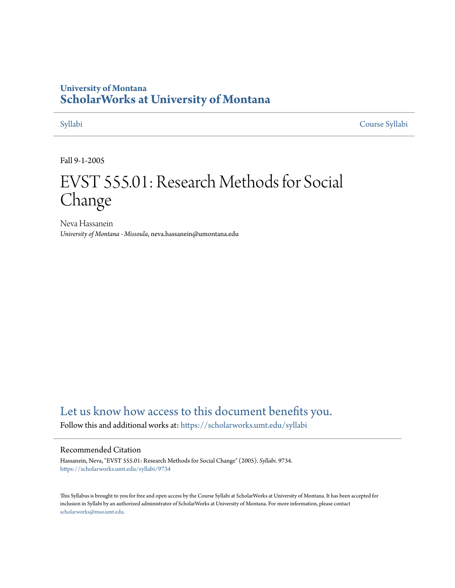## **University of Montana [ScholarWorks at University of Montana](https://scholarworks.umt.edu?utm_source=scholarworks.umt.edu%2Fsyllabi%2F9734&utm_medium=PDF&utm_campaign=PDFCoverPages)**

[Syllabi](https://scholarworks.umt.edu/syllabi?utm_source=scholarworks.umt.edu%2Fsyllabi%2F9734&utm_medium=PDF&utm_campaign=PDFCoverPages) [Course Syllabi](https://scholarworks.umt.edu/course_syllabi?utm_source=scholarworks.umt.edu%2Fsyllabi%2F9734&utm_medium=PDF&utm_campaign=PDFCoverPages)

Fall 9-1-2005

# EVST 555.01: Research Methods for Social Change

Neva Hassanein *University of Montana - Missoula*, neva.hassanein@umontana.edu

# [Let us know how access to this document benefits you.](https://goo.gl/forms/s2rGfXOLzz71qgsB2)

Follow this and additional works at: [https://scholarworks.umt.edu/syllabi](https://scholarworks.umt.edu/syllabi?utm_source=scholarworks.umt.edu%2Fsyllabi%2F9734&utm_medium=PDF&utm_campaign=PDFCoverPages)

#### Recommended Citation

Hassanein, Neva, "EVST 555.01: Research Methods for Social Change" (2005). *Syllabi*. 9734. [https://scholarworks.umt.edu/syllabi/9734](https://scholarworks.umt.edu/syllabi/9734?utm_source=scholarworks.umt.edu%2Fsyllabi%2F9734&utm_medium=PDF&utm_campaign=PDFCoverPages)

This Syllabus is brought to you for free and open access by the Course Syllabi at ScholarWorks at University of Montana. It has been accepted for inclusion in Syllabi by an authorized administrator of ScholarWorks at University of Montana. For more information, please contact [scholarworks@mso.umt.edu](mailto:scholarworks@mso.umt.edu).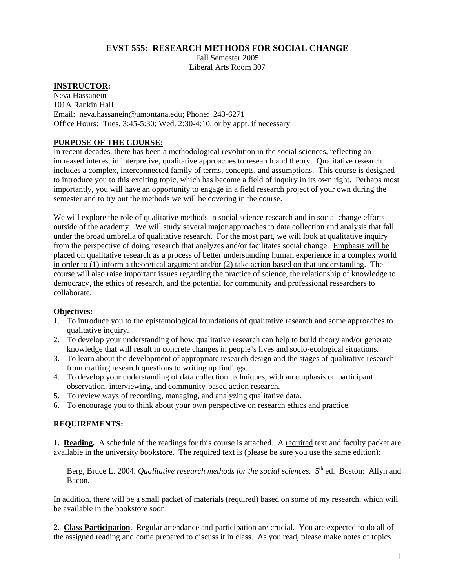#### **EVST 555: RESEARCH METHODS FOR SOCIAL CHANGE**

Fall Semester 2005 Liberal Arts Room 307

#### **INSTRUCTOR:**

Neva Hassanein 101A Rankin Hall Email: [neva.hassanein@umontana.edu](mailto:neva.hassanein@umontana.edu); Phone: 243-6271 Office Hours: Tues. 3:45-5:30; Wed. 2:30-4:10, or by appt. if necessary

#### **PURPOSE OF THE COURSE:**

In recent decades, there has been a methodological revolution in the social sciences, reflecting an increased interest in interpretive, qualitative approaches to research and theory. Qualitative research includes a complex, interconnected family of terms, concepts, and assumptions. This course is designed to introduce you to this exciting topic, which has become a field of inquiry in its own right. Perhaps most importantly, you will have an opportunity to engage in a field research project of your own during the semester and to try out the methods we will be covering in the course.

We will explore the role of qualitative methods in social science research and in social change efforts outside of the academy. We will study several major approaches to data collection and analysis that fall under the broad umbrella of qualitative research. For the most part, we will look at qualitative inquiry from the perspective of doing research that analyzes and/or facilitates social change. Emphasis will be placed on qualitative research as a process of better understanding human experience in a complex world in order to (1) inform a theoretical argument and/or (2) take action based on that understanding. The course will also raise important issues regarding the practice of science, the relationship of knowledge to democracy, the ethics of research, and the potential for community and professional researchers to collaborate.

#### **Objectives:**

- 1. To introduce you to the epistemological foundations of qualitative research and some approaches to qualitative inquiry.
- 2. To develop your understanding of how qualitative research can help to build theory and/or generate knowledge that will result in concrete changes in people's lives and socio-ecological situations.
- 3. To learn about the development of appropriate research design and the stages of qualitative research from crafting research questions to writing up findings.
- 4. To develop your understanding of data collection techniques, with an emphasis on participant observation, interviewing, and community-based action research.
- 5. To review ways of recording, managing, and analyzing qualitative data.
- 6. To encourage you to think about your own perspective on research ethics and practice.

#### **REQUIREMENTS:**

**1. Reading.** A schedule of the readings for this course is attached. A required text and faculty packet are available in the university bookstore. The required text is (please be sure you use the same edition):

Berg, Bruce L. 2004. *Qualitative research methods for the social sciences*. 5<sup>th</sup> ed. Boston: Allyn and Bacon.

In addition, there will be a small packet of materials (required) based on some of my research, which will be available in the bookstore soon.

**2. Class Participation**. Regular attendance and participation are crucial. You are expected to do all of the assigned reading and come prepared to discuss it in class. As you read, please make notes of topics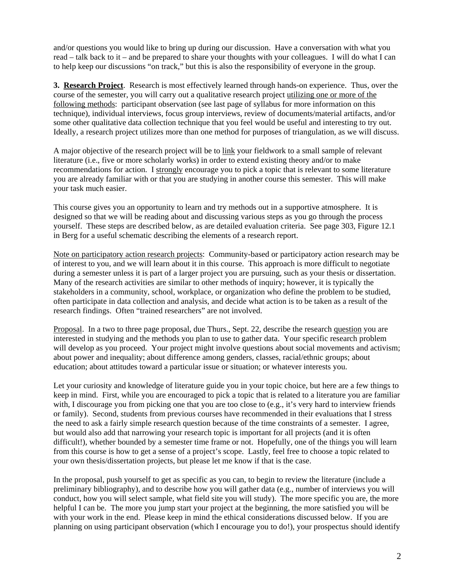and/or questions you would like to bring up during our discussion. Have a conversation with what you read – talk back to it – and be prepared to share your thoughts with your colleagues. I will do what I can to help keep our discussions "on track," but this is also the responsibility of everyone in the group.

**3. Research Project**. Research is most effectively learned through hands-on experience. Thus, over the course of the semester, you will carry out a qualitative research project utilizing one or more of the following methods: participant observation (see last page of syllabus for more information on this technique), individual interviews, focus group interviews, review of documents/material artifacts, and/or some other qualitative data collection technique that you feel would be useful and interesting to try out. Ideally, a research project utilizes more than one method for purposes of triangulation, as we will discuss.

A major objective of the research project will be to link your fieldwork to a small sample of relevant literature (i.e., five or more scholarly works) in order to extend existing theory and/or to make recommendations for action. I strongly encourage you to pick a topic that is relevant to some literature you are already familiar with or that you are studying in another course this semester. This will make your task much easier.

This course gives you an opportunity to learn and try methods out in a supportive atmosphere. It is designed so that we will be reading about and discussing various steps as you go through the process yourself. These steps are described below, as are detailed evaluation criteria. See page 303, Figure 12.1 in Berg for a useful schematic describing the elements of a research report.

Note on participatory action research projects: Community-based or participatory action research may be of interest to you, and we will learn about it in this course. This approach is more difficult to negotiate during a semester unless it is part of a larger project you are pursuing, such as your thesis or dissertation. Many of the research activities are similar to other methods of inquiry; however, it is typically the stakeholders in a community, school, workplace, or organization who define the problem to be studied, often participate in data collection and analysis, and decide what action is to be taken as a result of the research findings. Often "trained researchers" are not involved.

Proposal. In a two to three page proposal, due Thurs., Sept. 22, describe the research question you are interested in studying and the methods you plan to use to gather data. Your specific research problem will develop as you proceed. Your project might involve questions about social movements and activism; about power and inequality; about difference among genders, classes, racial/ethnic groups; about education; about attitudes toward a particular issue or situation; or whatever interests you.

Let your curiosity and knowledge of literature guide you in your topic choice, but here are a few things to keep in mind. First, while you are encouraged to pick a topic that is related to a literature you are familiar with, I discourage you from picking one that you are too close to (e.g., it's very hard to interview friends or family). Second, students from previous courses have recommended in their evaluations that I stress the need to ask a fairly simple research question because of the time constraints of a semester. I agree, but would also add that narrowing your research topic is important for all projects (and it is often difficult!), whether bounded by a semester time frame or not. Hopefully, one of the things you will learn from this course is how to get a sense of a project's scope. Lastly, feel free to choose a topic related to your own thesis/dissertation projects, but please let me know if that is the case.

In the proposal, push yourself to get as specific as you can, to begin to review the literature (include a preliminary bibliography), and to describe how you will gather data (e.g., number of interviews you will conduct, how you will select sample, what field site you will study). The more specific you are, the more helpful I can be. The more you jump start your project at the beginning, the more satisfied you will be with your work in the end. Please keep in mind the ethical considerations discussed below. If you are planning on using participant observation (which I encourage you to do!), your prospectus should identify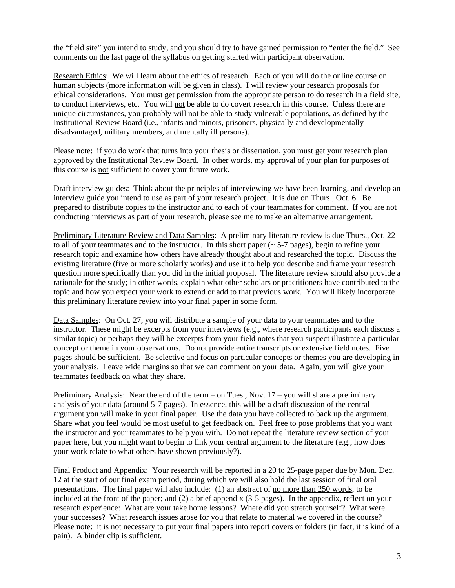the "field site" you intend to study, and you should try to have gained permission to "enter the field." See comments on the last page of the syllabus on getting started with participant observation.

Research Ethics: We will learn about the ethics of research. Each of you will do the online course on human subjects (more information will be given in class). I will review your research proposals for ethical considerations. You must get permission from the appropriate person to do research in a field site, to conduct interviews, etc. You will not be able to do covert research in this course. Unless there are unique circumstances, you probably will not be able to study vulnerable populations, as defined by the Institutional Review Board (i.e., infants and minors, prisoners, physically and developmentally disadvantaged, military members, and mentally ill persons).

Please note: if you do work that turns into your thesis or dissertation, you must get your research plan approved by the Institutional Review Board. In other words, my approval of your plan for purposes of this course is not sufficient to cover your future work.

Draft interview guides: Think about the principles of interviewing we have been learning, and develop an interview guide you intend to use as part of your research project. It is due on Thurs., Oct. 6. Be prepared to distribute copies to the instructor and to each of your teammates for comment. If you are not conducting interviews as part of your research, please see me to make an alternative arrangement.

Preliminary Literature Review and Data Samples: A preliminary literature review is due Thurs., Oct. 22 to all of your teammates and to the instructor. In this short paper (~ 5-7 pages), begin to refine your research topic and examine how others have already thought about and researched the topic. Discuss the existing literature (five or more scholarly works) and use it to help you describe and frame your research question more specifically than you did in the initial proposal. The literature review should also provide a rationale for the study; in other words, explain what other scholars or practitioners have contributed to the topic and how you expect your work to extend or add to that previous work. You will likely incorporate this preliminary literature review into your final paper in some form.

Data Samples: On Oct. 27, you will distribute a sample of your data to your teammates and to the instructor. These might be excerpts from your interviews (e.g., where research participants each discuss a similar topic) or perhaps they will be excerpts from your field notes that you suspect illustrate a particular concept or theme in your observations. Do not provide entire transcripts or extensive field notes. Five pages should be sufficient. Be selective and focus on particular concepts or themes you are developing in your analysis. Leave wide margins so that we can comment on your data. Again, you will give your teammates feedback on what they share.

Preliminary Analysis: Near the end of the term – on Tues., Nov. 17 – you will share a preliminary analysis of your data (around 5-7 pages). In essence, this will be a draft discussion of the central argument you will make in your final paper. Use the data you have collected to back up the argument. Share what you feel would be most useful to get feedback on. Feel free to pose problems that you want the instructor and your teammates to help you with. Do not repeat the literature review section of your paper here, but you might want to begin to link your central argument to the literature (e.g., how does your work relate to what others have shown previously?).

Final Product and Appendix: Your research will be reported in a 20 to 25-page paper due by Mon. Dec. 12 at the start of our final exam period, during which we will also hold the last session of final oral presentations. The final paper will also include: (1) an abstract of no more than 250 words, to be included at the front of the paper; and (2) a brief appendix (3-5 pages). In the appendix, reflect on your research experience: What are your take home lessons? Where did you stretch yourself? What were your successes? What research issues arose for you that relate to material we covered in the course? Please note: it is not necessary to put your final papers into report covers or folders (in fact, it is kind of a pain). A binder clip is sufficient.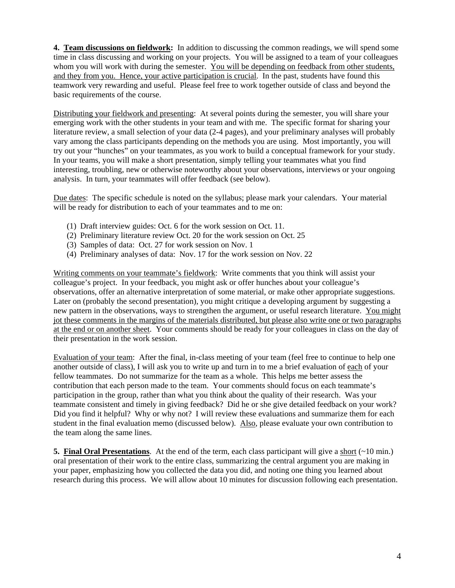**4. Team discussions on fieldwork:** In addition to discussing the common readings, we will spend some time in class discussing and working on your projects. You will be assigned to a team of your colleagues whom you will work with during the semester. You will be depending on feedback from other students, and they from you. Hence, your active participation is crucial.In the past, students have found this teamwork very rewarding and useful. Please feel free to work together outside of class and beyond the basic requirements of the course.

Distributing your fieldwork and presenting: At several points during the semester, you will share your emerging work with the other students in your team and with me. The specific format for sharing your literature review, a small selection of your data (2-4 pages), and your preliminary analyses will probably vary among the class participants depending on the methods you are using. Most importantly, you will try out your "hunches" on your teammates, as you work to build a conceptual framework for your study. In your teams, you will make a short presentation, simply telling your teammates what you find interesting, troubling, new or otherwise noteworthy about your observations, interviews or your ongoing analysis. In turn, your teammates will offer feedback (see below).

Due dates: The specific schedule is noted on the syllabus; please mark your calendars. Your material will be ready for distribution to each of your teammates and to me on:

- (1) Draft interview guides: Oct. 6 for the work session on Oct. 11.
- (2) Preliminary literature review Oct. 20 for the work session on Oct. 25
- (3) Samples of data: Oct. 27 for work session on Nov. 1
- (4) Preliminary analyses of data: Nov. 17 for the work session on Nov. 22

Writing comments on your teammate's fieldwork: Write comments that you think will assist your colleague's project. In your feedback, you might ask or offer hunches about your colleague's observations, offer an alternative interpretation of some material, or make other appropriate suggestions. Later on (probably the second presentation), you might critique a developing argument by suggesting a new pattern in the observations, ways to strengthen the argument, or useful research literature. You might jot these comments in the margins of the materials distributed, but please also write one or two paragraphs at the end or on another sheet. Your comments should be ready for your colleagues in class on the day of their presentation in the work session.

Evaluation of your team: After the final, in-class meeting of your team (feel free to continue to help one another outside of class), I will ask you to write up and turn in to me a brief evaluation of each of your fellow teammates. Do not summarize for the team as a whole. This helps me better assess the contribution that each person made to the team. Your comments should focus on each teammate's participation in the group, rather than what you think about the quality of their research. Was your teammate consistent and timely in giving feedback? Did he or she give detailed feedback on your work? Did you find it helpful? Why or why not? I will review these evaluations and summarize them for each student in the final evaluation memo (discussed below). Also, please evaluate your own contribution to the team along the same lines.

**5. Final Oral Presentations**. At the end of the term, each class participant will give a short (~10 min.) oral presentation of their work to the entire class, summarizing the central argument you are making in your paper, emphasizing how you collected the data you did, and noting one thing you learned about research during this process. We will allow about 10 minutes for discussion following each presentation.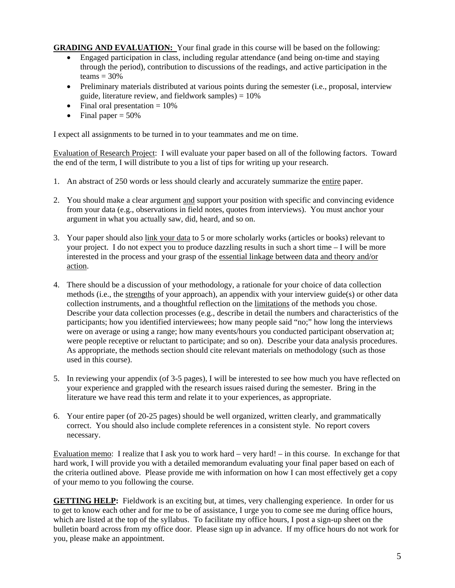**GRADING AND EVALUATION:** Your final grade in this course will be based on the following:

- Engaged participation in class, including regular attendance (and being on-time and staying through the period), contribution to discussions of the readings, and active participation in the teams  $=$  30%
- Preliminary materials distributed at various points during the semester (i.e., proposal, interview guide, literature review, and fieldwork samples)  $= 10\%$
- Final oral presentation  $= 10\%$
- Final paper  $= 50\%$

I expect all assignments to be turned in to your teammates and me on time.

Evaluation of Research Project: I will evaluate your paper based on all of the following factors. Toward the end of the term, I will distribute to you a list of tips for writing up your research.

- 1. An abstract of 250 words or less should clearly and accurately summarize the entire paper.
- 2. You should make a clear argument and support your position with specific and convincing evidence from your data (e.g., observations in field notes, quotes from interviews). You must anchor your argument in what you actually saw, did, heard, and so on.
- 3. Your paper should also link your data to 5 or more scholarly works (articles or books) relevant to your project. I do not expect you to produce dazzling results in such a short time – I will be more interested in the process and your grasp of the essential linkage between data and theory and/or action.
- 4. There should be a discussion of your methodology, a rationale for your choice of data collection methods (i.e., the strengths of your approach), an appendix with your interview guide(s) or other data collection instruments, and a thoughtful reflection on the limitations of the methods you chose. Describe your data collection processes (e.g., describe in detail the numbers and characteristics of the participants; how you identified interviewees; how many people said "no;" how long the interviews were on average or using a range; how many events/hours you conducted participant observation at; were people receptive or reluctant to participate; and so on). Describe your data analysis procedures. As appropriate, the methods section should cite relevant materials on methodology (such as those used in this course).
- 5. In reviewing your appendix (of 3-5 pages), I will be interested to see how much you have reflected on your experience and grappled with the research issues raised during the semester. Bring in the literature we have read this term and relate it to your experiences, as appropriate.
- 6. Your entire paper (of 20-25 pages) should be well organized, written clearly, and grammatically correct. You should also include complete references in a consistent style. No report covers necessary.

Evaluation memo: I realize that I ask you to work hard – very hard! – in this course. In exchange for that hard work, I will provide you with a detailed memorandum evaluating your final paper based on each of the criteria outlined above. Please provide me with information on how I can most effectively get a copy of your memo to you following the course.

**GETTING HELP:** Fieldwork is an exciting but, at times, very challenging experience. In order for us to get to know each other and for me to be of assistance, I urge you to come see me during office hours, which are listed at the top of the syllabus. To facilitate my office hours, I post a sign-up sheet on the bulletin board across from my office door. Please sign up in advance. If my office hours do not work for you, please make an appointment.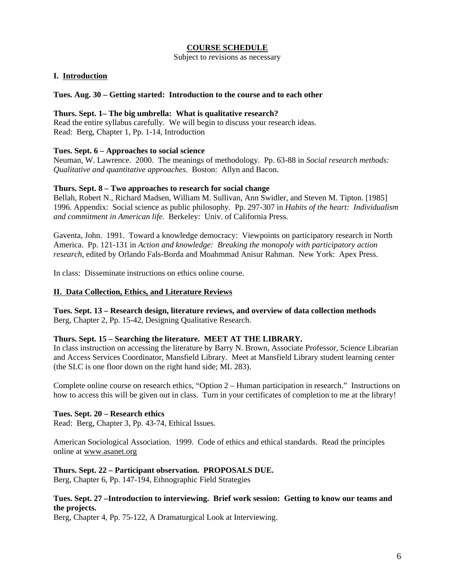#### **COURSE SCHEDULE**

Subject to revisions as necessary

#### **I. Introduction**

#### **Tues. Aug. 30 – Getting started: Introduction to the course and to each other**

#### **Thurs. Sept. 1– The big umbrella: What is qualitative research?**

Read the entire syllabus carefully. We will begin to discuss your research ideas. Read: Berg, Chapter 1, Pp. 1-14, Introduction

#### **Tues. Sept. 6 – Approaches to social science**

Neuman, W. Lawrence. 2000. The meanings of methodology. Pp. 63-88 in *Social research methods: Qualitative and quantitative approaches*. Boston: Allyn and Bacon.

#### **Thurs. Sept. 8 – Two approaches to research for social change**

Bellah, Robert N., Richard Madsen, William M. Sullivan, Ann Swidler, and Steven M. Tipton. [1985] 1996. Appendix: Social science as public philosophy. Pp. 297-307 in *Habits of the heart: Individualism and commitment in American life*. Berkeley: Univ. of California Press.

Gaventa, John. 1991. Toward a knowledge democracy: Viewpoints on participatory research in North America. Pp. 121-131 in *Action and knowledge: Breaking the monopoly with participatory action research*, edited by Orlando Fals-Borda and Moahmmad Anisur Rahman. New York: Apex Press.

In class: Disseminate instructions on ethics online course.

#### **II. Data Collection, Ethics, and Literature Reviews**

**Tues. Sept. 13 – Research design, literature reviews, and overview of data collection methods**  Berg, Chapter 2, Pp. 15-42, Designing Qualitative Research.

#### **Thurs. Sept. 15 – Searching the literature. MEET AT THE LIBRARY.**

In class instruction on accessing the literature by Barry N. Brown, Associate Professor, Science Librarian and Access Services Coordinator, Mansfield Library. Meet at Mansfield Library student learning center (the SLC is one floor down on the right hand side; ML 283).

Complete online course on research ethics, "Option 2 – Human participation in research." Instructions on how to access this will be given out in class. Turn in your certificates of completion to me at the library!

#### **Tues. Sept. 20 – Research ethics**

Read: Berg, Chapter 3, Pp. 43-74, Ethical Issues.

American Sociological Association. 1999. Code of ethics and ethical standards. Read the principles online at [www.asanet.org](http://www.asanet.org/)

#### **Thurs. Sept. 22 – Participant observation. PROPOSALS DUE.**

Berg, Chapter 6, Pp. 147-194, Ethnographic Field Strategies

#### **Tues. Sept. 27 –Introduction to interviewing. Brief work session: Getting to know our teams and the projects.**

Berg, Chapter 4, Pp. 75-122, A Dramaturgical Look at Interviewing.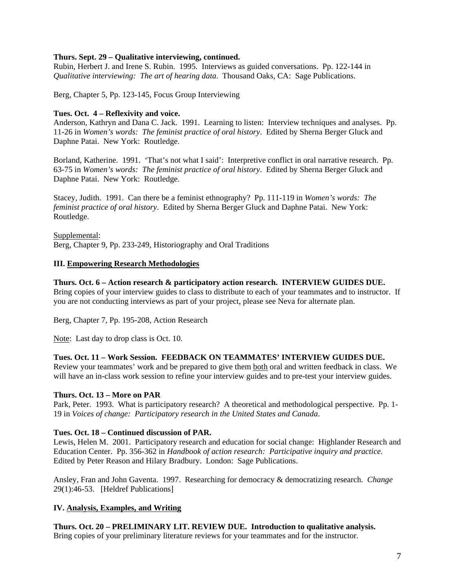#### **Thurs. Sept. 29 – Qualitative interviewing, continued.**

Rubin, Herbert J. and Irene S. Rubin. 1995. Interviews as guided conversations. Pp. 122-144 in *Qualitative interviewing: The art of hearing data*. Thousand Oaks, CA: Sage Publications.

Berg, Chapter 5, Pp. 123-145, Focus Group Interviewing

#### **Tues. Oct. 4 – Reflexivity and voice.**

Anderson, Kathryn and Dana C. Jack. 1991. Learning to listen: Interview techniques and analyses. Pp. 11-26 in *Women's words: The feminist practice of oral history*. Edited by Sherna Berger Gluck and Daphne Patai. New York: Routledge.

Borland, Katherine. 1991. 'That's not what I said': Interpretive conflict in oral narrative research. Pp. 63-75 in *Women's words: The feminist practice of oral history*. Edited by Sherna Berger Gluck and Daphne Patai. New York: Routledge.

Stacey, Judith. 1991. Can there be a feminist ethnography? Pp. 111-119 in *Women's words: The feminist practice of oral history*. Edited by Sherna Berger Gluck and Daphne Patai. New York: Routledge.

Supplemental: Berg, Chapter 9, Pp. 233-249, Historiography and Oral Traditions

#### **III. Empowering Research Methodologies**

#### **Thurs. Oct. 6 – Action research & participatory action research. INTERVIEW GUIDES DUE.**

Bring copies of your interview guides to class to distribute to each of your teammates and to instructor. If you are not conducting interviews as part of your project, please see Neva for alternate plan.

Berg, Chapter 7, Pp. 195-208, Action Research

Note: Last day to drop class is Oct. 10.

#### **Tues. Oct. 11 – Work Session. FEEDBACK ON TEAMMATES' INTERVIEW GUIDES DUE.**

Review your teammates' work and be prepared to give them both oral and written feedback in class. We will have an in-class work session to refine your interview guides and to pre-test your interview guides.

#### **Thurs. Oct. 13 – More on PAR**

Park, Peter. 1993. What is participatory research? A theoretical and methodological perspective. Pp. 1- 19 in *Voices of change: Participatory research in the United States and Canada*.

#### **Tues. Oct. 18 – Continued discussion of PAR.**

Lewis, Helen M. 2001. Participatory research and education for social change: Highlander Research and Education Center. Pp. 356-362 in *Handbook of action research: Participative inquiry and practice*. Edited by Peter Reason and Hilary Bradbury. London: Sage Publications.

Ansley, Fran and John Gaventa. 1997. Researching for democracy & democratizing research. *Change* 29(1):46-53. [Heldref Publications]

#### **IV. Analysis, Examples, and Writing**

**Thurs. Oct. 20 – PRELIMINARY LIT. REVIEW DUE. Introduction to qualitative analysis.**  Bring copies of your preliminary literature reviews for your teammates and for the instructor.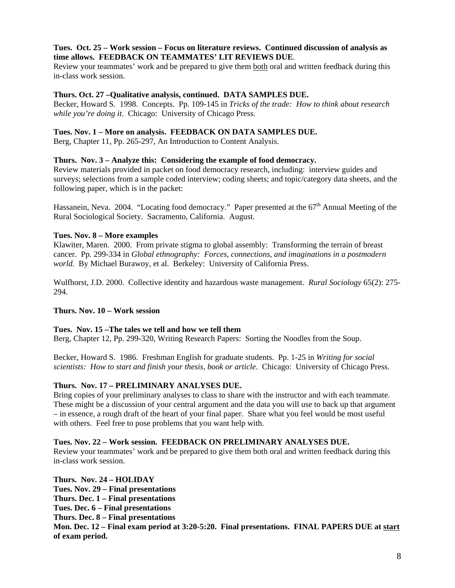#### **Tues. Oct. 25 – Work session – Focus on literature reviews. Continued discussion of analysis as time allows. FEEDBACK ON TEAMMATES' LIT REVIEWS DUE**.

Review your teammates' work and be prepared to give them both oral and written feedback during this in-class work session.

#### **Thurs. Oct. 27 –Qualitative analysis, continued. DATA SAMPLES DUE.**

Becker, Howard S. 1998. Concepts. Pp. 109-145 in *Tricks of the trade: How to think about research while you're doing it*. Chicago: University of Chicago Press.

#### **Tues. Nov. 1 – More on analysis. FEEDBACK ON DATA SAMPLES DUE.**

Berg, Chapter 11, Pp. 265-297, An Introduction to Content Analysis.

#### **Thurs. Nov. 3 – Analyze this: Considering the example of food democracy.**

Review materials provided in packet on food democracy research, including: interview guides and surveys; selections from a sample coded interview; coding sheets; and topic/category data sheets, and the following paper, which is in the packet:

Hassanein, Neva. 2004. "Locating food democracy." Paper presented at the 67<sup>th</sup> Annual Meeting of the Rural Sociological Society. Sacramento, California. August.

#### **Tues. Nov. 8 – More examples**

Klawiter, Maren. 2000. From private stigma to global assembly: Transforming the terrain of breast cancer. Pp. 299-334 in *Global ethnography: Forces, connections, and imaginations in a postmodern world.* By Michael Burawoy, et al. Berkeley: University of California Press.

Wulfhorst, J.D. 2000. Collective identity and hazardous waste management. *Rural Sociology* 65(2): 275- 294.

### **Thurs. Nov. 10 – Work session**

#### **Tues. Nov. 15 –The tales we tell and how we tell them**

Berg, Chapter 12, Pp. 299-320, Writing Research Papers: Sorting the Noodles from the Soup.

Becker, Howard S. 1986. Freshman English for graduate students. Pp. 1-25 in *Writing for social scientists: How to start and finish your thesis, book or article*. Chicago: University of Chicago Press.

#### **Thurs. Nov. 17 – PRELIMINARY ANALYSES DUE.**

Bring copies of your preliminary analyses to class to share with the instructor and with each teammate. These might be a discussion of your central argument and the data you will use to back up that argument – in essence, a rough draft of the heart of your final paper. Share what you feel would be most useful with others. Feel free to pose problems that you want help with.

#### **Tues. Nov. 22 – Work session. FEEDBACK ON PRELIMINARY ANALYSES DUE.**

Review your teammates' work and be prepared to give them both oral and written feedback during this in-class work session.

**Thurs. Nov. 24 – HOLIDAY Tues. Nov. 29 – Final presentations Thurs. Dec. 1 – Final presentations Tues. Dec. 6 – Final presentations Thurs. Dec. 8 – Final presentations Mon. Dec. 12 – Final exam period at 3:20-5:20. Final presentations. FINAL PAPERS DUE at start of exam period.**